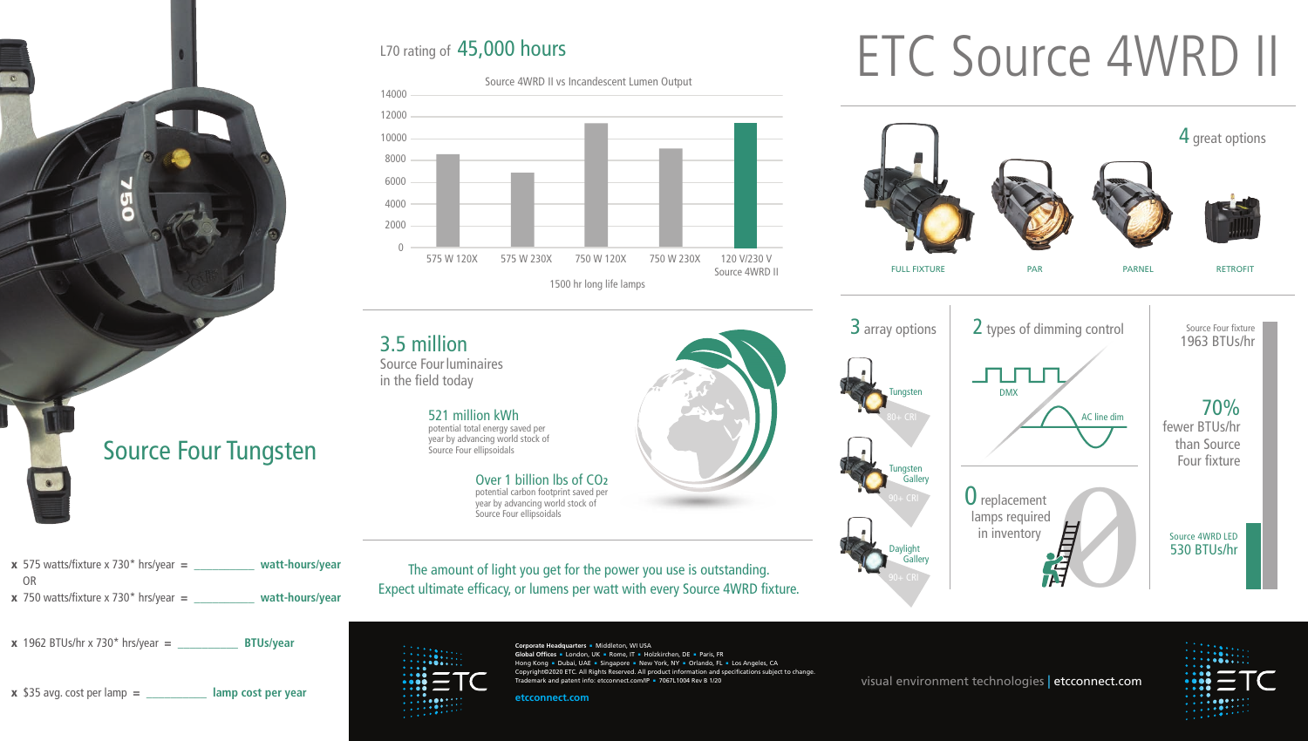

x 750 watts/fixture x 730\* hrs/year = **\_\_\_\_\_\_\_\_\_\_ watt-hours/year**

x 1962 BTUs/hr x 730\* hrs/year = **\_\_\_\_\_\_\_\_\_\_ BTUs/year**

**x** \$35 avg. cost per lamp = **lamp cost per year** 

## L70 rating of 45,000 hours



# ETC Source 4WRD II



The amount of light you get for the power you use is outstanding.

Over 1 billion lbs of CO**<sup>2</sup>** potential carbon footprint saved per year by advancing world stock of Source Four ellipsoidals

Expect ultimate efficacy, or lumens per watt with every Source 4WRD fixture.

 $\bullet \bullet \bullet \bullet \bullet \bullet$ 

Source Four luminaires in the field today

> 521 million kWh potential total energy saved per year by advancing world stock of Source Four ellipsoidals

> > **Corporate Headquarters • Middleton, WI USA Global Offices · London, UK · Rome, IT · Holzkirchen, DE · Paris, FR** Hong Kong = Dubai, UAE = Singapore = New York, NY = Orlando, FL = Los Angeles, CA Copyright©2020 ETC. All Rights Reserved. All product information and specifications subject to change. Trademark and patent info: etcconnect.com/IP = 7067L1004 Rev B 1/20

**etcconnect.com**

visual environment technologies | etcconnect.com